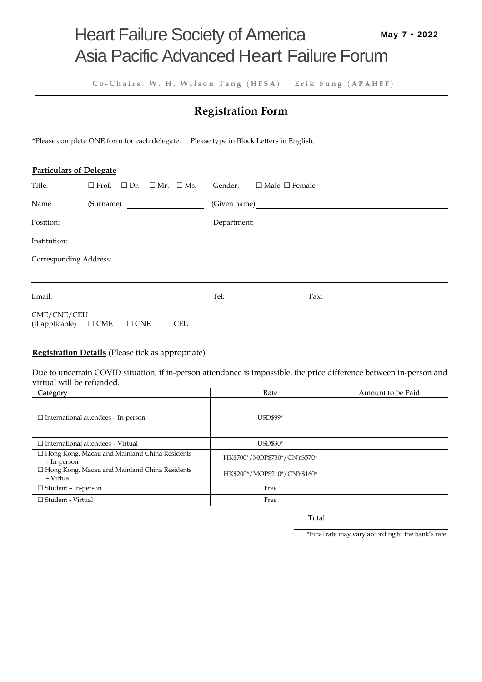**C o - C h a i r s** : **W . H . W i l s o n T a n g** ( **H F S A** ) | **E r i k F u n g** ( **A P A H F F** )

# **Registration Form**

\*Please complete ONE form for each delegate. Please type in Block Letters in English.

## **Particulars of Delegate**

| Title:                         | $\Box$ Prof. $\Box$ Dr. $\Box$ Mr. $\Box$ Ms. |            | Gender:     | $\Box$ Male $\Box$ Female                   |  |  |  |  |  |
|--------------------------------|-----------------------------------------------|------------|-------------|---------------------------------------------|--|--|--|--|--|
| Name:                          | (Surname)                                     |            |             | (Given name)                                |  |  |  |  |  |
| Position:                      |                                               |            | Department: | <u> 1989 - Jan Samuel Barbara, martin d</u> |  |  |  |  |  |
| Institution:                   |                                               |            |             |                                             |  |  |  |  |  |
| Corresponding Address:         |                                               |            |             |                                             |  |  |  |  |  |
|                                |                                               |            |             |                                             |  |  |  |  |  |
| Email:                         |                                               |            | Tel:        | Fax:                                        |  |  |  |  |  |
| CME/CNE/CEU<br>(If applicable) | $\Box$ CME<br>$\Box$ CNE                      | $\Box$ CEU |             |                                             |  |  |  |  |  |

## **Registration Details** (Please tick as appropriate)

Due to uncertain COVID situation, if in-person attendance is impossible, the price difference between in-person and virtual will be refunded.

| Category                                                            | Rate                         |        | Amount to be Paid |
|---------------------------------------------------------------------|------------------------------|--------|-------------------|
| $\Box$ International attendees - In-person                          | USD\$99*                     |        |                   |
| $\Box$ International attendees - Virtual                            | USD\$30*                     |        |                   |
| $\Box$ Hong Kong, Macau and Mainland China Residents<br>- In-person | HK\$700*/MOP\$730*/CNY\$570* |        |                   |
| □ Hong Kong, Macau and Mainland China Residents<br>- Virtual        | HK\$200*/MOP\$210*/CNY\$160* |        |                   |
| $\Box$ Student – In-person                                          | Free                         |        |                   |
| $\Box$ Student - Virtual                                            | Free                         |        |                   |
|                                                                     |                              | Total: |                   |

\*Final rate may vary according to the bank's rate.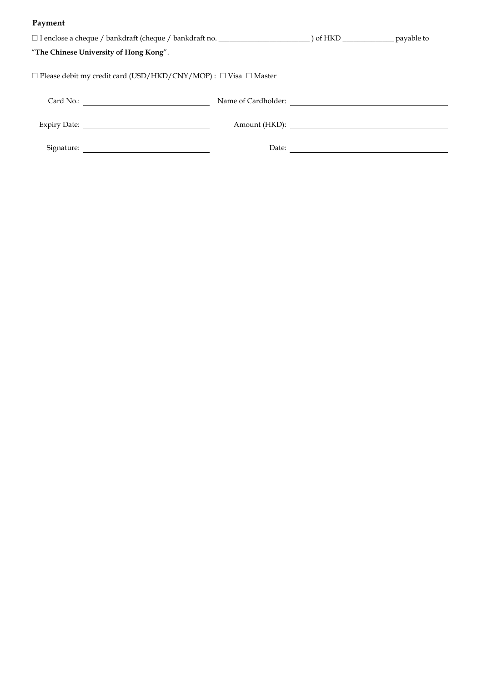## **Payment**

| "The Chinese University of Hong Kong".                                           |  |       |                     |  |  |  |  |  |  |
|----------------------------------------------------------------------------------|--|-------|---------------------|--|--|--|--|--|--|
| $\Box$ Please debit my credit card (USD/HKD/CNY/MOP) : $\Box$ Visa $\Box$ Master |  |       |                     |  |  |  |  |  |  |
|                                                                                  |  |       | Name of Cardholder: |  |  |  |  |  |  |
|                                                                                  |  |       |                     |  |  |  |  |  |  |
|                                                                                  |  | Date: |                     |  |  |  |  |  |  |